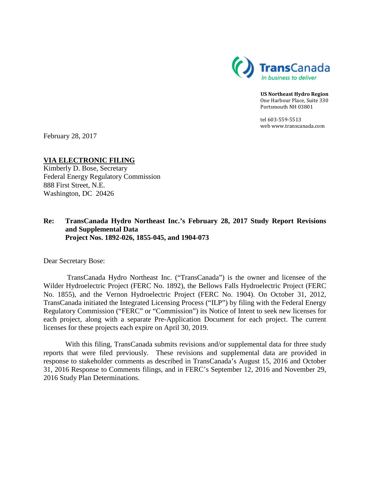

**US Northeast Hydro Region** One Harbour Place, Suite 330 Portsmouth NH 03801

tel 603-559-5513 web www.transcanada.com

February 28, 2017

**VIA ELECTRONIC FILING** Kimberly D. Bose, Secretary

Federal Energy Regulatory Commission 888 First Street, N.E. Washington, DC 20426

## **Re: TransCanada Hydro Northeast Inc.'s February 28, 2017 Study Report Revisions and Supplemental Data Project Nos. 1892-026, 1855-045, and 1904-073**

Dear Secretary Bose:

TransCanada Hydro Northeast Inc. ("TransCanada") is the owner and licensee of the Wilder Hydroelectric Project (FERC No. 1892), the Bellows Falls Hydroelectric Project (FERC No. 1855), and the Vernon Hydroelectric Project (FERC No. 1904). On October 31, 2012, TransCanada initiated the Integrated Licensing Process ("ILP") by filing with the Federal Energy Regulatory Commission ("FERC" or "Commission") its Notice of Intent to seek new licenses for each project, along with a separate Pre-Application Document for each project. The current licenses for these projects each expire on April 30, 2019.

With this filing, TransCanada submits revisions and/or supplemental data for three study reports that were filed previously. These revisions and supplemental data are provided in response to stakeholder comments as described in TransCanada's August 15, 2016 and October 31, 2016 Response to Comments filings, and in FERC's September 12, 2016 and November 29, 2016 Study Plan Determinations.